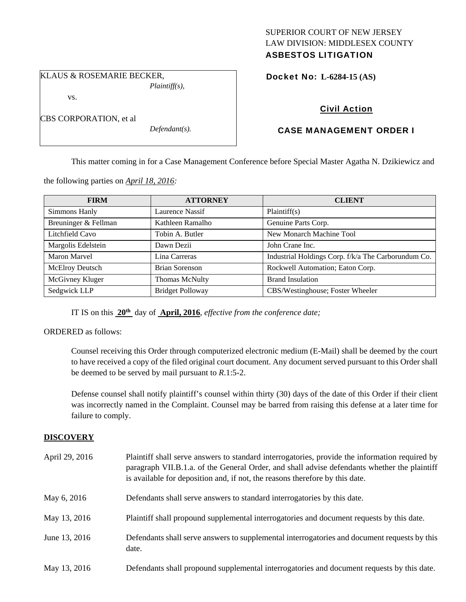## SUPERIOR COURT OF NEW JERSEY LAW DIVISION: MIDDLESEX COUNTY ASBESTOS LITIGATION

KLAUS & ROSEMARIE BECKER, *Plaintiff(s),* 

vs.

CBS CORPORATION, et al

*Defendant(s).* 

Docket No: **L-6284-15 (AS)** 

# Civil Action

# CASE MANAGEMENT ORDER I

This matter coming in for a Case Management Conference before Special Master Agatha N. Dzikiewicz and

the following parties on *April 18, 2016:* 

| <b>FIRM</b>            | <b>ATTORNEY</b>         | <b>CLIENT</b>                                       |
|------------------------|-------------------------|-----------------------------------------------------|
| Simmons Hanly          | Laurence Nassif         | Plaintiff(s)                                        |
| Breuninger & Fellman   | Kathleen Ramalho        | Genuine Parts Corp.                                 |
| Litchfield Cavo        | Tobin A. Butler         | New Monarch Machine Tool                            |
| Margolis Edelstein     | Dawn Dezii              | John Crane Inc.                                     |
| Maron Marvel           | Lina Carreras           | Industrial Holdings Corp. f/k/a The Carborundum Co. |
| <b>McElroy Deutsch</b> | <b>Brian Sorenson</b>   | Rockwell Automation; Eaton Corp.                    |
| McGivney Kluger        | Thomas McNulty          | <b>Brand Insulation</b>                             |
| Sedgwick LLP           | <b>Bridget Polloway</b> | CBS/Westinghouse; Foster Wheeler                    |

IT IS on this **20th** day of **April, 2016**, *effective from the conference date;*

ORDERED as follows:

Counsel receiving this Order through computerized electronic medium (E-Mail) shall be deemed by the court to have received a copy of the filed original court document. Any document served pursuant to this Order shall be deemed to be served by mail pursuant to *R*.1:5-2.

Defense counsel shall notify plaintiff's counsel within thirty (30) days of the date of this Order if their client was incorrectly named in the Complaint. Counsel may be barred from raising this defense at a later time for failure to comply.

# **DISCOVERY**

| April 29, 2016 | Plaintiff shall serve answers to standard interrogatories, provide the information required by<br>paragraph VII.B.1.a. of the General Order, and shall advise defendants whether the plaintiff<br>is available for deposition and, if not, the reasons therefore by this date. |
|----------------|--------------------------------------------------------------------------------------------------------------------------------------------------------------------------------------------------------------------------------------------------------------------------------|
| May 6, 2016    | Defendants shall serve answers to standard interrogatories by this date.                                                                                                                                                                                                       |
| May 13, 2016   | Plaintiff shall propound supplemental interrogatories and document requests by this date.                                                                                                                                                                                      |
| June 13, 2016  | Defendants shall serve answers to supplemental interrogatories and document requests by this<br>date.                                                                                                                                                                          |
| May 13, 2016   | Defendants shall propound supplemental interrogatories and document requests by this date.                                                                                                                                                                                     |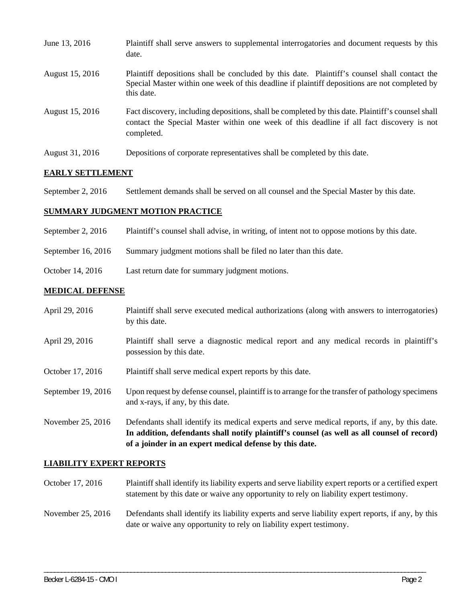| June 13, 2016   | Plaintiff shall serve answers to supplemental interrogatories and document requests by this<br>date.                                                                                                        |
|-----------------|-------------------------------------------------------------------------------------------------------------------------------------------------------------------------------------------------------------|
| August 15, 2016 | Plaintiff depositions shall be concluded by this date. Plaintiff's counsel shall contact the<br>Special Master within one week of this deadline if plaintiff depositions are not completed by<br>this date. |
| August 15, 2016 | Fact discovery, including depositions, shall be completed by this date. Plaintiff's counsel shall<br>contact the Special Master within one week of this deadline if all fact discovery is not<br>completed. |
| August 31, 2016 | Depositions of corporate representatives shall be completed by this date.                                                                                                                                   |

## **EARLY SETTLEMENT**

September 2, 2016 Settlement demands shall be served on all counsel and the Special Master by this date.

#### **SUMMARY JUDGMENT MOTION PRACTICE**

September 2, 2016 Plaintiff's counsel shall advise, in writing, of intent not to oppose motions by this date.

September 16, 2016 Summary judgment motions shall be filed no later than this date.

October 14, 2016 Last return date for summary judgment motions.

### **MEDICAL DEFENSE**

April 29, 2016 Plaintiff shall serve executed medical authorizations (along with answers to interrogatories) by this date. April 29, 2016 Plaintiff shall serve a diagnostic medical report and any medical records in plaintiff's possession by this date. October 17, 2016 Plaintiff shall serve medical expert reports by this date. September 19, 2016 Upon request by defense counsel, plaintiff is to arrange for the transfer of pathology specimens and x-rays, if any, by this date. November 25, 2016 Defendants shall identify its medical experts and serve medical reports, if any, by this date. **In addition, defendants shall notify plaintiff's counsel (as well as all counsel of record) of a joinder in an expert medical defense by this date.** 

#### **LIABILITY EXPERT REPORTS**

- October 17, 2016 Plaintiff shall identify its liability experts and serve liability expert reports or a certified expert statement by this date or waive any opportunity to rely on liability expert testimony.
- November 25, 2016 Defendants shall identify its liability experts and serve liability expert reports, if any, by this date or waive any opportunity to rely on liability expert testimony.

\_\_\_\_\_\_\_\_\_\_\_\_\_\_\_\_\_\_\_\_\_\_\_\_\_\_\_\_\_\_\_\_\_\_\_\_\_\_\_\_\_\_\_\_\_\_\_\_\_\_\_\_\_\_\_\_\_\_\_\_\_\_\_\_\_\_\_\_\_\_\_\_\_\_\_\_\_\_\_\_\_\_\_\_\_\_\_\_\_\_\_\_\_\_\_\_\_\_\_\_\_\_\_\_\_\_\_\_\_\_